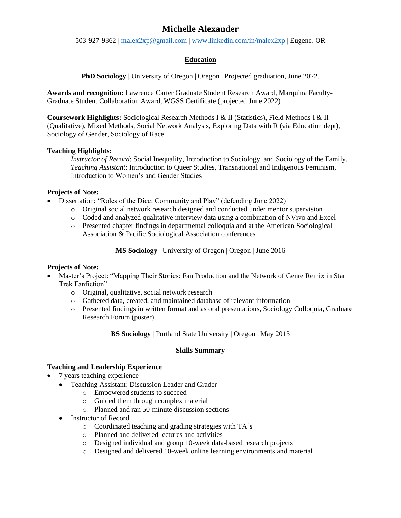# **Michelle Alexander**

503-927-9362 | [malex2xp@gmail.com](mailto:malex2xp@gmail.com) | [www.linkedin.com/in/malex2xp](http://www.linkedin.com/in/malex2xp) | Eugene, OR

## **Education**

**PhD** Sociology | University of Oregon | Oregon | Projected graduation, June 2022.

**Awards and recognition:** Lawrence Carter Graduate Student Research Award, Marquina Faculty-Graduate Student Collaboration Award, WGSS Certificate (projected June 2022)

**Coursework Highlights:** Sociological Research Methods I & II (Statistics), Field Methods I & II (Qualitative), Mixed Methods, Social Network Analysis, Exploring Data with R (via Education dept), Sociology of Gender, Sociology of Race

## **Teaching Highlights:**

*Instructor of Record*: Social Inequality, Introduction to Sociology, and Sociology of the Family. *Teaching Assistant*: Introduction to Queer Studies, Transnational and Indigenous Feminism, Introduction to Women's and Gender Studies

## **Projects of Note:**

- Dissertation: "Roles of the Dice: Community and Play" (defending June 2022)
	- o Original social network research designed and conducted under mentor supervision
	- o Coded and analyzed qualitative interview data using a combination of NVivo and Excel
	- o Presented chapter findings in departmental colloquia and at the American Sociological Association & Pacific Sociological Association conferences

**MS Sociology |** University of Oregon | Oregon | June 2016

## **Projects of Note:**

- Master's Project: "Mapping Their Stories: Fan Production and the Network of Genre Remix in Star Trek Fanfiction"
	- o Original, qualitative, social network research
	- o Gathered data, created, and maintained database of relevant information
	- o Presented findings in written format and as oral presentations, Sociology Colloquia, Graduate Research Forum (poster).

**BS Sociology** | Portland State University | Oregon | May 2013

## **Skills Summary**

# **Teaching and Leadership Experience**

- 7 years teaching experience
	- Teaching Assistant: Discussion Leader and Grader
		- o Empowered students to succeed
		- o Guided them through complex material
		- o Planned and ran 50-minute discussion sections
	- Instructor of Record
		- o Coordinated teaching and grading strategies with TA's
		- o Planned and delivered lectures and activities
		- o Designed individual and group 10-week data-based research projects
		- o Designed and delivered 10-week online learning environments and material